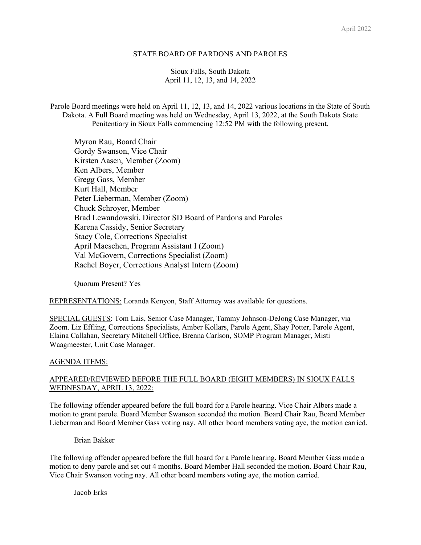### STATE BOARD OF PARDONS AND PAROLES

Sioux Falls, South Dakota April 11, 12, 13, and 14, 2022

Parole Board meetings were held on April 11, 12, 13, and 14, 2022 various locations in the State of South Dakota. A Full Board meeting was held on Wednesday, April 13, 2022, at the South Dakota State Penitentiary in Sioux Falls commencing 12:52 PM with the following present.

Myron Rau, Board Chair Gordy Swanson, Vice Chair Kirsten Aasen, Member (Zoom) Ken Albers, Member Gregg Gass, Member Kurt Hall, Member Peter Lieberman, Member (Zoom) Chuck Schroyer, Member Brad Lewandowski, Director SD Board of Pardons and Paroles Karena Cassidy, Senior Secretary Stacy Cole, Corrections Specialist April Maeschen, Program Assistant I (Zoom) Val McGovern, Corrections Specialist (Zoom) Rachel Boyer, Corrections Analyst Intern (Zoom)

Quorum Present? Yes

REPRESENTATIONS: Loranda Kenyon, Staff Attorney was available for questions.

SPECIAL GUESTS: Tom Lais, Senior Case Manager, Tammy Johnson-DeJong Case Manager, via Zoom. Liz Effling, Corrections Specialists, Amber Kollars, Parole Agent, Shay Potter, Parole Agent, Elaina Callahan, Secretary Mitchell Office, Brenna Carlson, SOMP Program Manager, Misti Waagmeester, Unit Case Manager.

#### AGENDA ITEMS:

## APPEARED/REVIEWED BEFORE THE FULL BOARD (EIGHT MEMBERS) IN SIOUX FALLS WEDNESDAY, APRIL 13, 2022:

The following offender appeared before the full board for a Parole hearing. Vice Chair Albers made a motion to grant parole. Board Member Swanson seconded the motion. Board Chair Rau, Board Member Lieberman and Board Member Gass voting nay. All other board members voting aye, the motion carried.

Brian Bakker

The following offender appeared before the full board for a Parole hearing. Board Member Gass made a motion to deny parole and set out 4 months. Board Member Hall seconded the motion. Board Chair Rau, Vice Chair Swanson voting nay. All other board members voting aye, the motion carried.

Jacob Erks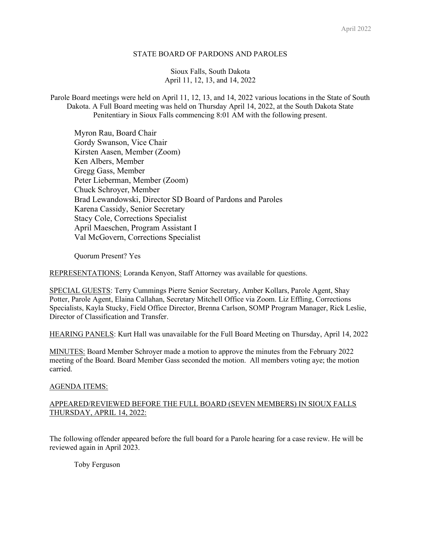#### STATE BOARD OF PARDONS AND PAROLES

Sioux Falls, South Dakota April 11, 12, 13, and 14, 2022

Parole Board meetings were held on April 11, 12, 13, and 14, 2022 various locations in the State of South Dakota. A Full Board meeting was held on Thursday April 14, 2022, at the South Dakota State Penitentiary in Sioux Falls commencing 8:01 AM with the following present.

Myron Rau, Board Chair Gordy Swanson, Vice Chair Kirsten Aasen, Member (Zoom) Ken Albers, Member Gregg Gass, Member Peter Lieberman, Member (Zoom) Chuck Schroyer, Member Brad Lewandowski, Director SD Board of Pardons and Paroles Karena Cassidy, Senior Secretary Stacy Cole, Corrections Specialist April Maeschen, Program Assistant I Val McGovern, Corrections Specialist

Quorum Present? Yes

REPRESENTATIONS: Loranda Kenyon, Staff Attorney was available for questions.

SPECIAL GUESTS: Terry Cummings Pierre Senior Secretary, Amber Kollars, Parole Agent, Shay Potter, Parole Agent, Elaina Callahan, Secretary Mitchell Office via Zoom. Liz Effling, Corrections Specialists, Kayla Stucky, Field Office Director, Brenna Carlson, SOMP Program Manager, Rick Leslie, Director of Classification and Transfer.

HEARING PANELS: Kurt Hall was unavailable for the Full Board Meeting on Thursday, April 14, 2022

MINUTES: Board Member Schroyer made a motion to approve the minutes from the February 2022 meeting of the Board. Board Member Gass seconded the motion. All members voting aye; the motion carried.

#### AGENDA ITEMS:

# APPEARED/REVIEWED BEFORE THE FULL BOARD (SEVEN MEMBERS) IN SIOUX FALLS THURSDAY, APRIL 14, 2022:

The following offender appeared before the full board for a Parole hearing for a case review. He will be reviewed again in April 2023.

Toby Ferguson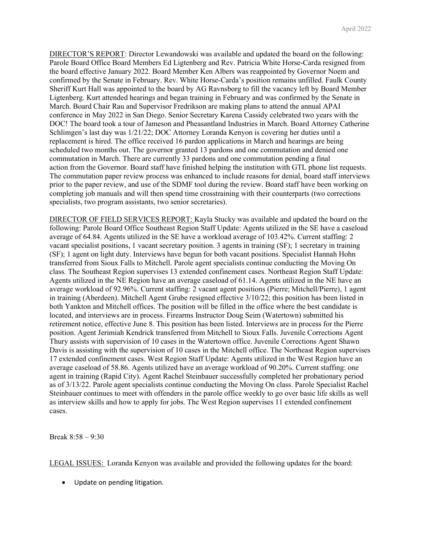DIRECTOR'S REPORT: Director Lewandowski was available and updated the board on the following: Parole Board Office Board Members Ed Ligtenberg and Rev. Patricia White Horse-Carda resigned from the board effective January 2022. Board Member Ken Albers was reappointed by Governor Noem and confirmed by the Senate in February. Rev. White Horse-Carda's position remains unfilled. Faulk County Sheriff Kurt Hall was appointed to the board by AG Ravnsborg to fill the vacancy left by Board Member Ligtenberg. Kurt attended hearings and began training in February and was confirmed by the Senate in March. Board Chair Rau and Supervisor Fredrikson are making plans to attend the annual APAI conference in May 2022 in San Diego. Senior Secretary Karena Cassidy celebrated two years with the DOC! The board took a tour of Jameson and Pheasantland Industries in March. Board Attorney Catherine Schlimgen's last day was 1/21/22; DOC Attorney Loranda Kenyon is covering her duties until a replacement is hired. The office received 16 pardon applications in March and hearings are being scheduled two months out. The governor granted 13 pardons and one commutation and denied one commutation in March. There are currently 33 pardons and one commutation pending a final action from the Governor. Board staff have finished helping the institution with GTL phone list requests. The commutation paper review process was enhanced to include reasons for denial, board staff interviews prior to the paper review, and use of the SDMF tool during the review. Board staff have been working on completing job manuals and will then spend time crosstraining with their counterparts (two corrections specialists, two program assistants, two senior secretaries).

DIRECTOR OF FIELD SERVICES REPORT: Kayla Stucky was available and updated the board on the following: Parole Board Office Southeast Region Staff Update: Agents utilized in the SE have a caseload average of 64.84. Agents utilized in the SE have a workload average of 103.42%. Current staffing: 2 vacant specialist positions, 1 vacant secretary position. 3 agents in training (SF); 1 secretary in training (SF); 1 agent on light duty. Interviews have begun for both vacant positions. Specialist Hannah Hohn transferred from Sioux Falls to Mitchell. Parole agent specialists continue conducting the Moving On class. The Southeast Region supervises 13 extended confinement cases. Northeast Region Staff Update: Agents utilized in the NE Region have an average caseload of 61.14. Agents utilized in the NE have an average workload of 92.96%. Current staffing: 2 vacant agent positions (Pierre; Mitchell/Pierre), 1 agent in training (Aberdeen). Mitchell Agent Grube resigned effective 3/10/22; this position has been listed in both Yankton and Mitchell offices. The position will be filled in the office where the best candidate is located, and interviews are in process. Firearms Instructor Doug Seim (Watertown) submitted his retirement notice, effective June 8. This position has been listed. Interviews are in process for the Pierre position. Agent Jerimiah Kendrick transferred from Mitchell to Sioux Falls. Juvenile Corrections Agent Thury assists with supervision of 10 cases in the Watertown office. Juvenile Corrections Agent Shawn Davis is assisting with the supervision of 10 cases in the Mitchell office. The Northeast Region supervises 17 extended confinement cases. West Region Staff Update: Agents utilized in the West Region have an average caseload of 58.86. Agents utilized have an average workload of 90.20%. Current staffing: one agent in training (Rapid City). Agent Rachel Steinbauer successfully completed her probationary period as of 3/13/22. Parole agent specialists continue conducting the Moving On class. Parole Specialist Rachel Steinbauer continues to meet with offenders in the parole office weekly to go over basic life skills as well as interview skills and how to apply for jobs. The West Region supervises 11 extended confinement cases.

Break 8:58 – 9:30

LEGAL ISSUES: Loranda Kenyon was available and provided the following updates for the board:

• Update on pending litigation.